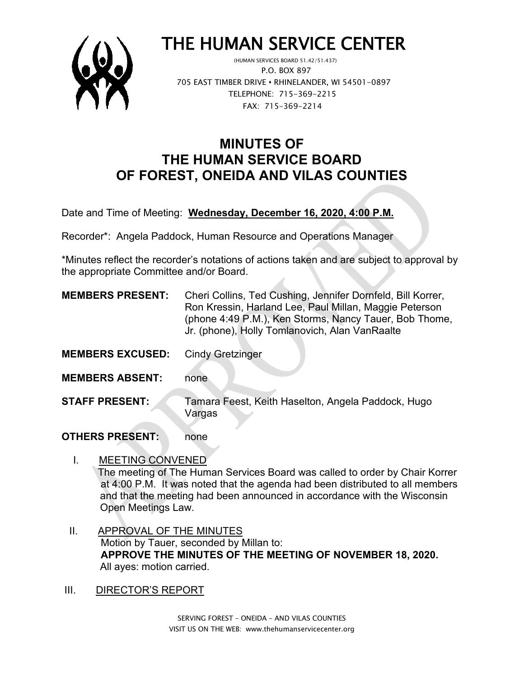

# THE HUMAN SERVICE CENTER (HUMAN SERVICES BOARD 51.42/51.437)

 P.O. BOX 897 705 EAST TIMBER DRIVE **•** RHINELANDER, WI 54501-0897 TELEPHONE: 715-369-2215 FAX: 715-369-2214

## **MINUTES OF THE HUMAN SERVICE BOARD OF FOREST, ONEIDA AND VILAS COUNTIES**

Date and Time of Meeting: **Wednesday, December 16, 2020, 4:00 P.M.**

Recorder\*: Angela Paddock, Human Resource and Operations Manager

\*Minutes reflect the recorder's notations of actions taken and are subject to approval by the appropriate Committee and/or Board.

| <b>MEMBERS PRESENT:</b> | Cheri Collins, Ted Cushing, Jennifer Dornfeld, Bill Korrer, |
|-------------------------|-------------------------------------------------------------|
|                         | Ron Kressin, Harland Lee, Paul Millan, Maggie Peterson      |
|                         | (phone 4:49 P.M.), Ken Storms, Nancy Tauer, Bob Thome,      |
|                         | Jr. (phone), Holly Tomlanovich, Alan VanRaalte              |

- **MEMBERS EXCUSED:** Cindy Gretzinger
- **MEMBERS ABSENT:** none
- **STAFF PRESENT:** Tamara Feest, Keith Haselton, Angela Paddock, Hugo Vargas

#### **OTHERS PRESENT:** none

- I. MEETING CONVENED The meeting of The Human Services Board was called to order by Chair Korrer at 4:00 P.M. It was noted that the agenda had been distributed to all members and that the meeting had been announced in accordance with the Wisconsin Open Meetings Law.
- II. APPROVAL OF THE MINUTES Motion by Tauer, seconded by Millan to: **APPROVE THE MINUTES OF THE MEETING OF NOVEMBER 18, 2020.** All ayes: motion carried.
- III. DIRECTOR'S REPORT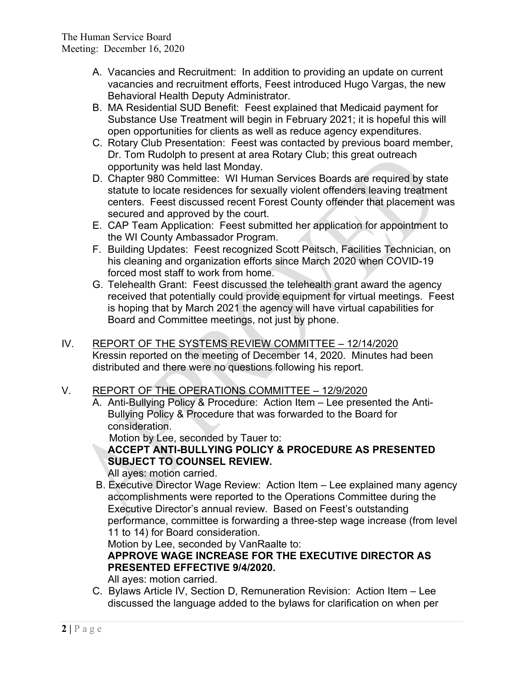- A. Vacancies and Recruitment: In addition to providing an update on current vacancies and recruitment efforts, Feest introduced Hugo Vargas, the new Behavioral Health Deputy Administrator.
- B. MA Residential SUD Benefit: Feest explained that Medicaid payment for Substance Use Treatment will begin in February 2021; it is hopeful this will open opportunities for clients as well as reduce agency expenditures.
- C. Rotary Club Presentation: Feest was contacted by previous board member, Dr. Tom Rudolph to present at area Rotary Club; this great outreach opportunity was held last Monday.
- D. Chapter 980 Committee: WI Human Services Boards are required by state statute to locate residences for sexually violent offenders leaving treatment centers. Feest discussed recent Forest County offender that placement was secured and approved by the court.
- E. CAP Team Application: Feest submitted her application for appointment to the WI County Ambassador Program.
- F. Building Updates: Feest recognized Scott Peitsch, Facilities Technician, on his cleaning and organization efforts since March 2020 when COVID-19 forced most staff to work from home.
- G. Telehealth Grant: Feest discussed the telehealth grant award the agency received that potentially could provide equipment for virtual meetings. Feest is hoping that by March 2021 the agency will have virtual capabilities for Board and Committee meetings, not just by phone.
- IV. REPORT OF THE SYSTEMS REVIEW COMMITTEE 12/14/2020 Kressin reported on the meeting of December 14, 2020. Minutes had been distributed and there were no questions following his report.

#### V. REPORT OF THE OPERATIONS COMMITTEE – 12/9/2020

A. Anti-Bullying Policy & Procedure: Action Item – Lee presented the Anti-Bullying Policy & Procedure that was forwarded to the Board for consideration.

Motion by Lee, seconded by Tauer to:

**ACCEPT ANTI-BULLYING POLICY & PROCEDURE AS PRESENTED SUBJECT TO COUNSEL REVIEW.**

All ayes: motion carried.

 B. Executive Director Wage Review: Action Item – Lee explained many agency accomplishments were reported to the Operations Committee during the Executive Director's annual review. Based on Feest's outstanding performance, committee is forwarding a three-step wage increase (from level 11 to 14) for Board consideration.

Motion by Lee, seconded by VanRaalte to:

### **APPROVE WAGE INCREASE FOR THE EXECUTIVE DIRECTOR AS PRESENTED EFFECTIVE 9/4/2020.**

All ayes: motion carried.

C. Bylaws Article IV, Section D, Remuneration Revision: Action Item – Lee discussed the language added to the bylaws for clarification on when per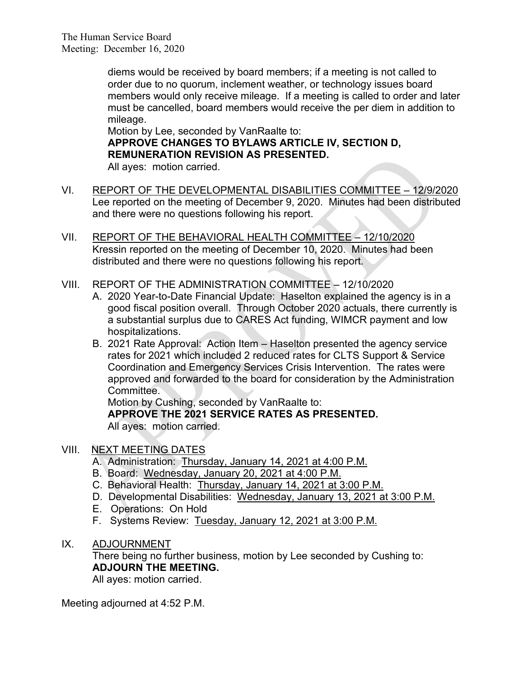diems would be received by board members; if a meeting is not called to order due to no quorum, inclement weather, or technology issues board members would only receive mileage. If a meeting is called to order and later must be cancelled, board members would receive the per diem in addition to mileage.

Motion by Lee, seconded by VanRaalte to: **APPROVE CHANGES TO BYLAWS ARTICLE IV, SECTION D, REMUNERATION REVISION AS PRESENTED.** All ayes: motion carried.

- VI. REPORT OF THE DEVELOPMENTAL DISABILITIES COMMITTEE 12/9/2020 Lee reported on the meeting of December 9, 2020. Minutes had been distributed and there were no questions following his report.
- VII. REPORT OF THE BEHAVIORAL HEALTH COMMITTEE 12/10/2020 Kressin reported on the meeting of December 10, 2020. Minutes had been distributed and there were no questions following his report.
- VIII. REPORT OF THE ADMINISTRATION COMMITTEE 12/10/2020
	- A. 2020 Year-to-Date Financial Update: Haselton explained the agency is in a good fiscal position overall. Through October 2020 actuals, there currently is a substantial surplus due to CARES Act funding, WIMCR payment and low hospitalizations.
	- B. 2021 Rate Approval: Action Item Haselton presented the agency service rates for 2021 which included 2 reduced rates for CLTS Support & Service Coordination and Emergency Services Crisis Intervention. The rates were approved and forwarded to the board for consideration by the Administration Committee.

Motion by Cushing, seconded by VanRaalte to: **APPROVE THE 2021 SERVICE RATES AS PRESENTED.** All ayes: motion carried.

- VIII. NEXT MEETING DATES
	- A. Administration: Thursday, January 14, 2021 at 4:00 P.M.
	- B. Board: Wednesday, January 20, 2021 at 4:00 P.M.
	- C. Behavioral Health: Thursday, January 14, 2021 at 3:00 P.M.
	- D. Developmental Disabilities: Wednesday, January 13, 2021 at 3:00 P.M.
	- E. Operations: On Hold
	- F. Systems Review: Tuesday, January 12, 2021 at 3:00 P.M.
- IX. ADJOURNMENT

There being no further business, motion by Lee seconded by Cushing to: **ADJOURN THE MEETING.**

All ayes: motion carried.

Meeting adjourned at 4:52 P.M.